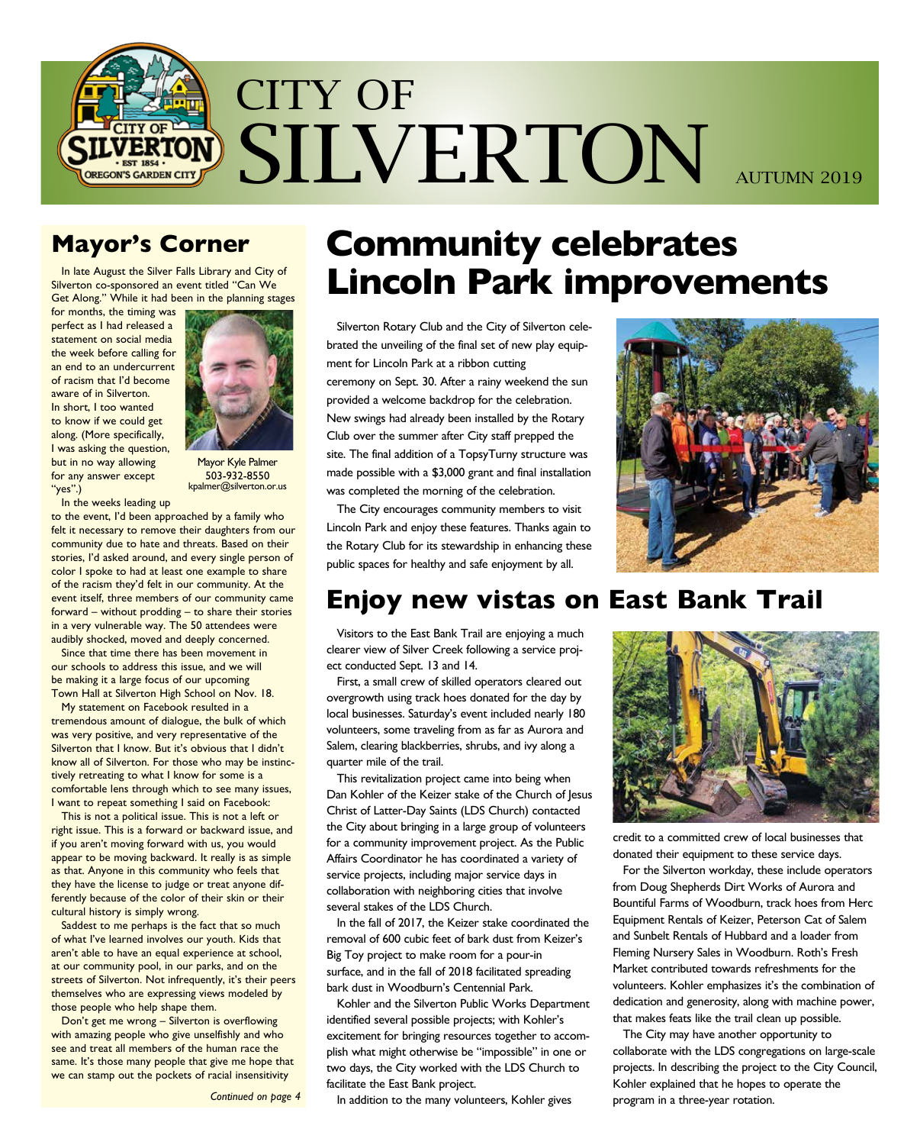

## **Mayor's Corner**

In late August the Silver Falls Library and City of Silverton co-sponsored an event titled "Can We Get Along." While it had been in the planning stages

for months, the timing was perfect as I had released a statement on social media the week before calling for an end to an undercurrent of racism that I'd become aware of in Silverton. In short, I too wanted to know if we could get along. (More specifically, I was asking the question, but in no way allowing for any answer except "yes".)



Mayor Kyle Palmer 503-932-8550 kpalmer@silverton.or.us

In the weeks leading up

to the event, I'd been approached by a family who felt it necessary to remove their daughters from our community due to hate and threats. Based on their stories, I'd asked around, and every single person of color I spoke to had at least one example to share of the racism they'd felt in our community. At the event itself, three members of our community came forward – without prodding – to share their stories in a very vulnerable way. The 50 attendees were audibly shocked, moved and deeply concerned.

Since that time there has been movement in our schools to address this issue, and we will be making it a large focus of our upcoming Town Hall at Silverton High School on Nov. 18.

My statement on Facebook resulted in a tremendous amount of dialogue, the bulk of which was very positive, and very representative of the Silverton that I know. But it's obvious that I didn't know all of Silverton. For those who may be instinctively retreating to what I know for some is a comfortable lens through which to see many issues, I want to repeat something I said on Facebook:

This is not a political issue. This is not a left or right issue. This is a forward or backward issue, and if you aren't moving forward with us, you would appear to be moving backward. It really is as simple as that. Anyone in this community who feels that they have the license to judge or treat anyone differently because of the color of their skin or their cultural history is simply wrong.

Saddest to me perhaps is the fact that so much of what I've learned involves our youth. Kids that aren't able to have an equal experience at school, at our community pool, in our parks, and on the streets of Silverton. Not infrequently, it's their peers themselves who are expressing views modeled by those people who help shape them.

Don't get me wrong – Silverton is overflowing with amazing people who give unselfishly and who see and treat all members of the human race the same. It's those many people that give me hope that we can stamp out the pockets of racial insensitivity

*Continued on page 4*

# **Community celebrates Lincoln Park improvements**

Silverton Rotary Club and the City of Silverton celebrated the unveiling of the final set of new play equipment for Lincoln Park at a ribbon cutting ceremony on Sept. 30. After a rainy weekend the sun provided a welcome backdrop for the celebration. New swings had already been installed by the Rotary Club over the summer after City staff prepped the site. The final addition of a TopsyTurny structure was made possible with a \$3,000 grant and final installation was completed the morning of the celebration.

The City encourages community members to visit Lincoln Park and enjoy these features. Thanks again to the Rotary Club for its stewardship in enhancing these public spaces for healthy and safe enjoyment by all.



# **Enjoy new vistas on East Bank Trail**

Visitors to the East Bank Trail are enjoying a much clearer view of Silver Creek following a service project conducted Sept. 13 and 14.

First, a small crew of skilled operators cleared out overgrowth using track hoes donated for the day by local businesses. Saturday's event included nearly 180 volunteers, some traveling from as far as Aurora and Salem, clearing blackberries, shrubs, and ivy along a quarter mile of the trail.

This revitalization project came into being when Dan Kohler of the Keizer stake of the Church of Jesus Christ of Latter-Day Saints (LDS Church) contacted the City about bringing in a large group of volunteers for a community improvement project. As the Public Affairs Coordinator he has coordinated a variety of service projects, including major service days in collaboration with neighboring cities that involve several stakes of the LDS Church.

In the fall of 2017, the Keizer stake coordinated the removal of 600 cubic feet of bark dust from Keizer's Big Toy project to make room for a pour-in surface, and in the fall of 2018 facilitated spreading bark dust in Woodburn's Centennial Park.

Kohler and the Silverton Public Works Department identified several possible projects; with Kohler's excitement for bringing resources together to accomplish what might otherwise be "impossible" in one or two days, the City worked with the LDS Church to facilitate the East Bank project.

In addition to the many volunteers, Kohler gives



credit to a committed crew of local businesses that donated their equipment to these service days.

For the Silverton workday, these include operators from Doug Shepherds Dirt Works of Aurora and Bountiful Farms of Woodburn, track hoes from Herc Equipment Rentals of Keizer, Peterson Cat of Salem and Sunbelt Rentals of Hubbard and a loader from Fleming Nursery Sales in Woodburn. Roth's Fresh Market contributed towards refreshments for the volunteers. Kohler emphasizes it's the combination of dedication and generosity, along with machine power, that makes feats like the trail clean up possible.

The City may have another opportunity to collaborate with the LDS congregations on large-scale projects. In describing the project to the City Council, Kohler explained that he hopes to operate the program in a three-year rotation.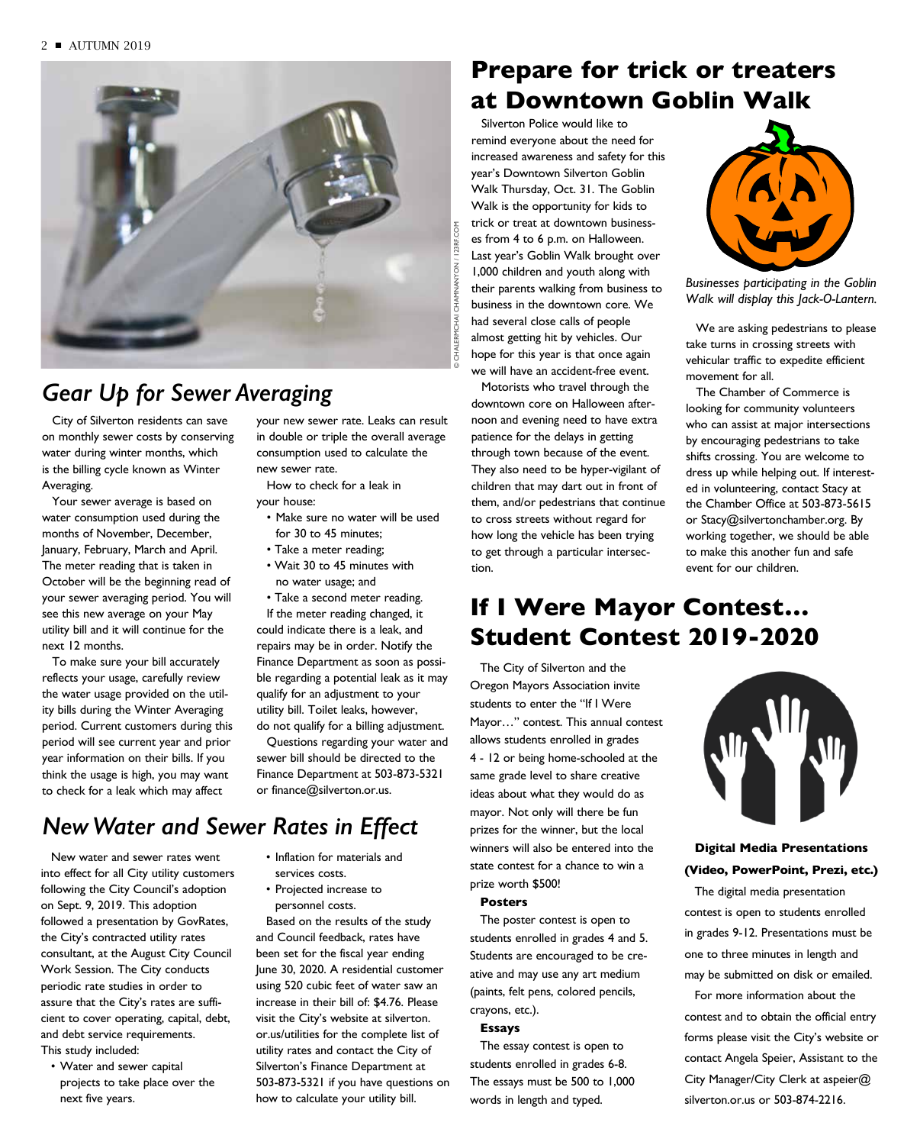

## *Gear Up for Sewer Averaging*

City of Silverton residents can save on monthly sewer costs by conserving water during winter months, which is the billing cycle known as Winter Averaging.

Your sewer average is based on water consumption used during the months of November, December, January, February, March and April. The meter reading that is taken in October will be the beginning read of your sewer averaging period. You will see this new average on your May utility bill and it will continue for the next 12 months.

To make sure your bill accurately reflects your usage, carefully review the water usage provided on the utility bills during the Winter Averaging period. Current customers during this period will see current year and prior year information on their bills. If you think the usage is high, you may want to check for a leak which may affect

your new sewer rate. Leaks can result in double or triple the overall average consumption used to calculate the new sewer rate.

How to check for a leak in your house:

- Make sure no water will be used for 30 to 45 minutes;
- Take a meter reading;
- Wait 30 to 45 minutes with no water usage; and

• Take a second meter reading. If the meter reading changed, it could indicate there is a leak, and repairs may be in order. Notify the Finance Department as soon as possible regarding a potential leak as it may qualify for an adjustment to your utility bill. Toilet leaks, however, do not qualify for a billing adjustment.

Questions regarding your water and sewer bill should be directed to the Finance Department at 503-873-5321 or finance@silverton.or.us.

• Inflation for materials and

Based on the results of the study and Council feedback, rates have been set for the fiscal year ending June 30, 2020. A residential customer using 520 cubic feet of water saw an increase in their bill of: \$4.76. Please visit the City's website at silverton. or.us/utilities for the complete list of utility rates and contact the City of Silverton's Finance Department at 503-873-5321 if you have questions on how to calculate your utility bill.

services costs. • Projected increase to personnel costs.

## *New Water and Sewer Rates in Effect*

New water and sewer rates went into effect for all City utility customers following the City Council's adoption on Sept. 9, 2019. This adoption followed a presentation by GovRates, the City's contracted utility rates consultant, at the August City Council Work Session. The City conducts periodic rate studies in order to assure that the City's rates are sufficient to cover operating, capital, debt, and debt service requirements. This study included:

• Water and sewer capital projects to take place over the next five years.

Silverton Police would like to **Prepare for trick or treaters at Downtown Goblin Walk** 

remind everyone about the need for increased awareness and safety for this year's Downtown Silverton Goblin Walk Thursday, Oct. 31. The Goblin Walk is the opportunity for kids to trick or treat at downtown businesses from 4 to 6 p.m. on Halloween. Last year's Goblin Walk brought over 1,000 children and youth along with their parents walking from business to business in the downtown core. We had several close calls of people almost getting hit by vehicles. Our hope for this year is that once again we will have an accident-free event.

Motorists who travel through the downtown core on Halloween afternoon and evening need to have extra patience for the delays in getting through town because of the event. They also need to be hyper-vigilant of children that may dart out in front of them, and/or pedestrians that continue to cross streets without regard for how long the vehicle has been trying to get through a particular intersection.



**Goblin Walk** *Businesses participating in the Goblin*  Walk will display this Jack-O-Lantern. **October 31st, 4 to 6 pm** 

We are asking pedestrians to please take turns in crossing streets with vehicular traffic to expedite efficient movement for all.

The Chamber of Commerce is looking for community volunteers who can assist at major intersections by encouraging pedestrians to take shifts crossing. You are welcome to dress up while helping out. If interested in volunteering, contact Stacy at the Chamber Office at 503-873-5615 or Stacy@silvertonchamber.org. By working together, we should be able to make this another fun and safe event for our children.

## **If I Were Mayor Contest… Student Contest 2019-2020**

The City of Silverton and the Oregon Mayors Association invite students to enter the "If I Were Mayor…" contest. This annual contest allows students enrolled in grades 4 - 12 or being home-schooled at the same grade level to share creative ideas about what they would do as mayor. Not only will there be fun prizes for the winner, but the local winners will also be entered into the state contest for a chance to win a prize worth \$500!

### **Posters**

The poster contest is open to students enrolled in grades 4 and 5. Students are encouraged to be creative and may use any art medium (paints, felt pens, colored pencils, crayons, etc.).

### **Essays**

The essay contest is open to students enrolled in grades 6-8. The essays must be 500 to 1,000 words in length and typed.



**Digital Media Presentations (Video, PowerPoint, Prezi, etc.)**

The digital media presentation contest is open to students enrolled in grades 9-12. Presentations must be one to three minutes in length and may be submitted on disk or emailed.

For more information about the contest and to obtain the official entry forms please visit the City's website or contact Angela Speier, Assistant to the City Manager/City Clerk at aspeier@ silverton.or.us or 503-874-2216.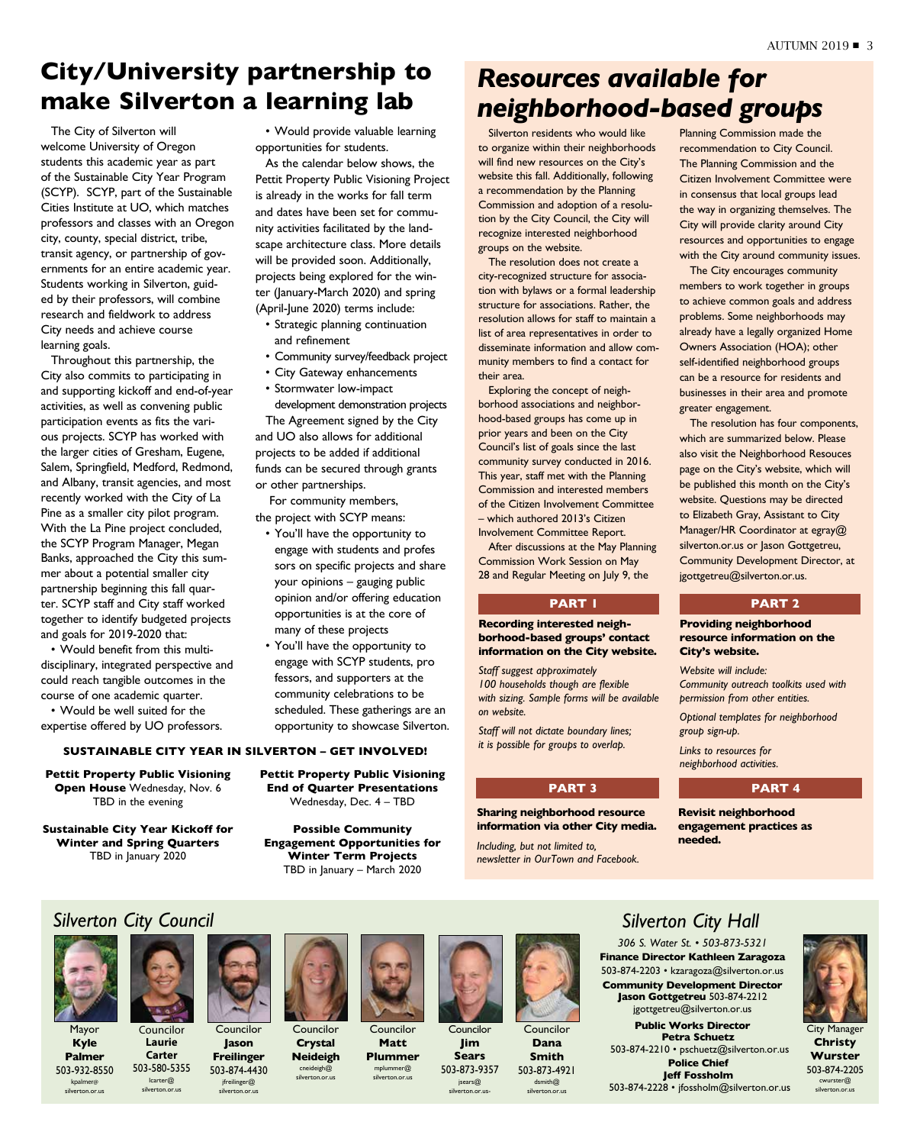## **City/University partnership to make Silverton a learning lab**

The City of Silverton will welcome University of Oregon students this academic year as part of the Sustainable City Year Program (SCYP). SCYP, part of the Sustainable Cities Institute at UO, which matches professors and classes with an Oregon city, county, special district, tribe, transit agency, or partnership of governments for an entire academic year. Students working in Silverton, guided by their professors, will combine research and fieldwork to address City needs and achieve course learning goals.

Throughout this partnership, the City also commits to participating in and supporting kickoff and end-of-year activities, as well as convening public participation events as fits the various projects. SCYP has worked with the larger cities of Gresham, Eugene, Salem, Springfield, Medford, Redmond, and Albany, transit agencies, and most recently worked with the City of La Pine as a smaller city pilot program. With the La Pine project concluded, the SCYP Program Manager, Megan Banks, approached the City this summer about a potential smaller city partnership beginning this fall quarter. SCYP staff and City staff worked together to identify budgeted projects and goals for 2019-2020 that:

• Would benefit from this multidisciplinary, integrated perspective and could reach tangible outcomes in the course of one academic quarter.

• Would be well suited for the expertise offered by UO professors.

### **SUSTAINABLE CITY YEAR IN SILVERTON – GET INVOLVED!**

**Pettit Property Public Visioning Open House** Wednesday, Nov. 6 TBD in the evening

**Sustainable City Year Kickoff for Winter and Spring Quarters** TBD in January 2020

• Would provide valuable learning opportunities for students.

As the calendar below shows, the Pettit Property Public Visioning Project is already in the works for fall term and dates have been set for community activities facilitated by the landscape architecture class. More details will be provided soon. Additionally, projects being explored for the winter (January-March 2020) and spring (April-June 2020) terms include:

- Strategic planning continuation and refinement
- Community survey/feedback project
- City Gateway enhancements
- Stormwater low-impact

development demonstration projects The Agreement signed by the City and UO also allows for additional projects to be added if additional funds can be secured through grants or other partnerships.

 For community members, the project with SCYP means:

- You'll have the opportunity to engage with students and profes sors on specific projects and share your opinions – gauging public opinion and/or offering education opportunities is at the core of many of these projects
- You'll have the opportunity to engage with SCYP students, pro fessors, and supporters at the community celebrations to be scheduled. These gatherings are an opportunity to showcase Silverton.
- - **Pettit Property Public Visioning End of Quarter Presentations**  Wednesday, Dec. 4 – TBD

**Possible Community Engagement Opportunities for Winter Term Projects** TBD in January – March 2020

## *Resources available for neighborhood-based groups*

Silverton residents who would like to organize within their neighborhoods will find new resources on the City's website this fall. Additionally, following a recommendation by the Planning Commission and adoption of a resolution by the City Council, the City will recognize interested neighborhood groups on the website.

The resolution does not create a city-recognized structure for association with bylaws or a formal leadership structure for associations. Rather, the resolution allows for staff to maintain a list of area representatives in order to disseminate information and allow community members to find a contact for their area.

Exploring the concept of neighborhood associations and neighborhood-based groups has come up in prior years and been on the City Council's list of goals since the last community survey conducted in 2016. This year, staff met with the Planning Commission and interested members of the Citizen Involvement Committee – which authored 2013's Citizen Involvement Committee Report.

After discussions at the May Planning Commission Work Session on May 28 and Regular Meeting on July 9, the

### **PART 1 PART 2**

**Recording interested neighborhood-based groups' contact information on the City website.**

*Staff suggest approximately 100 households though are flexible with sizing. Sample forms will be available on website.*

*Staff will not dictate boundary lines; it is possible for groups to overlap.*

**Sharing neighborhood resource information via other City media.** 

*Including, but not limited to, newsletter in OurTown and Facebook.* Planning Commission made the recommendation to City Council. The Planning Commission and the Citizen Involvement Committee were in consensus that local groups lead the way in organizing themselves. The City will provide clarity around City resources and opportunities to engage with the City around community issues.

The City encourages community members to work together in groups to achieve common goals and address problems. Some neighborhoods may already have a legally organized Home Owners Association (HOA); other self-identified neighborhood groups can be a resource for residents and businesses in their area and promote greater engagement.

The resolution has four components, which are summarized below. Please also visit the Neighborhood Resouces page on the City's website, which will be published this month on the City's website. Questions may be directed to Elizabeth Gray, Assistant to City Manager/HR Coordinator at egray@ silverton.or.us or Jason Gottgetreu, Community Development Director, at jgottgetreu@silverton.or.us.

**Providing neighborhood resource information on the City's website.**

*Website will include: Community outreach toolkits used with permission from other entities.*

*Optional templates for neighborhood group sign-up.*

*Links to resources for neighborhood activities.*

### **PART 3 PART 4**

**Revisit neighborhood engagement practices as needed.**

*Silverton City Council*

Councilor **Laurie Carter** 503-580-5355 lcarter@ silverton.or.us

Mayor **Kyle Palmer** 503-932-8550 kpalmer@ silverton.or.us



Councilor **Jason Freilinger** 503-874-4430

jfreilinger@ silverton.or.us



**Neideigh** Councilor

**Crystal**

cneideigh@ silverton.or.us



Councilor **Jim Sears** 503-873-9357

jsears@ silverton.or.us-



Councilor **Dana Smith** 503-873-4921 dsmith@ silverton.or.us

*Silverton City Hall*

*306 S. Water St. • 503-873-5321* **Finance Director Kathleen Zaragoza** 503-874-2203 • kzaragoza@silverton.or.us **Community Development Director Jason Gottgetreu** 503-874-2212 jgottgetreu@silverton.or.us

**Public Works Director Petra Schuetz** 503-874-2210 • pschuetz@silverton.or.us **Police Chief Jeff Fossholm** 503-874-2228 • jfossholm@silverton.or.us



City Manager **Christy Wurster** 503-874-2205 cwurster@ silverton.or.us

**Matt Plummer**  mplummer@ silverton.or.us